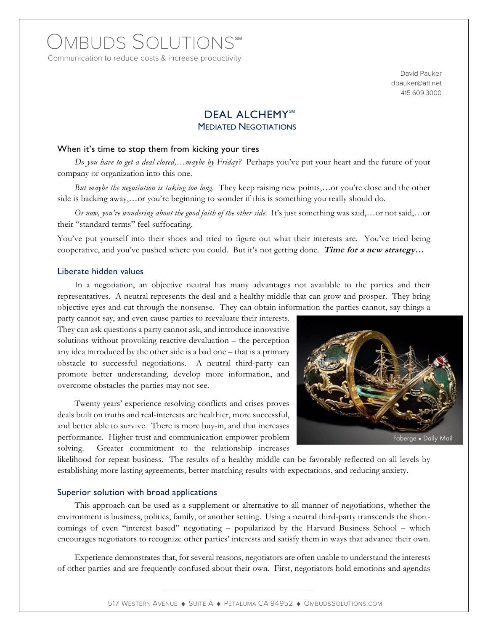# OMBUDS SOLUTIONS®M

Communication to reduce costs & increase productivity

David Pauker dpauker@att.net 415.609.3000

## DEAL ALCHEMY<sup>SM</sup> MEDIATED NEGOTIATIONS

#### When it's time to stop them from kicking your tires

*Do you have to get a deal closed,…maybe by Friday?* Perhaps you've put your heart and the future of your company or organization into this one.

*But maybe the negotiation is taking too long.* They keep raising new points,…or you're close and the other side is backing away,...or you're beginning to wonder if this is something you really should do.

*Or now, you're wondering about the good faith of the other side.* It's just something was said,…or not said,…or their "standard terms" feel suffocating.

You've put yourself into their shoes and tried to figure out what their interests are. You've tried being cooperative, and you've pushed where you could. But it's not getting done. **Time for a new strategy…**

#### Liberate hidden values

In a negotiation, an objective neutral has many advantages not available to the parties and their representatives. A neutral represents the deal and a healthy middle that can grow and prosper. They bring objective eyes and cut through the nonsense. They can obtain information the parties cannot, say things a

party cannot say, and even cause parties to reevaluate their interests. They can ask questions a party cannot ask, and introduce innovative solutions without provoking reactive devaluation – the perception any idea introduced by the other side is a bad one – that is a primary obstacle to successful negotiations. A neutral third-party can promote better understanding, develop more information, and overcome obstacles the parties may not see.

Twenty years' experience resolving conflicts and crises proves deals built on truths and real-interests are healthier, more successful, and better able to survive. There is more buy-in, and that increases performance. Higher trust and communication empower problem solving. Greater commitment to the relationship increases



likelihood for repeat business. The results of a healthy middle can be favorably reflected on all levels by establishing more lasting agreements, better matching results with expectations, and reducing anxiety.

#### Superior solution with broad applications

This approach can be used as a supplement or alternative to all manner of negotiations, whether the environment is business, politics, family, or another setting. Using a neutral third-party transcends the shortcomings of even "interest based" negotiating – popularized by the Harvard Business School – which encourages negotiators to recognize other parties' interests and satisfy them in ways that advance their own.

Experience demonstrates that, for several reasons, negotiators are often unable to understand the interests of other parties and are frequently confused about their own. First, negotiators hold emotions and agendas